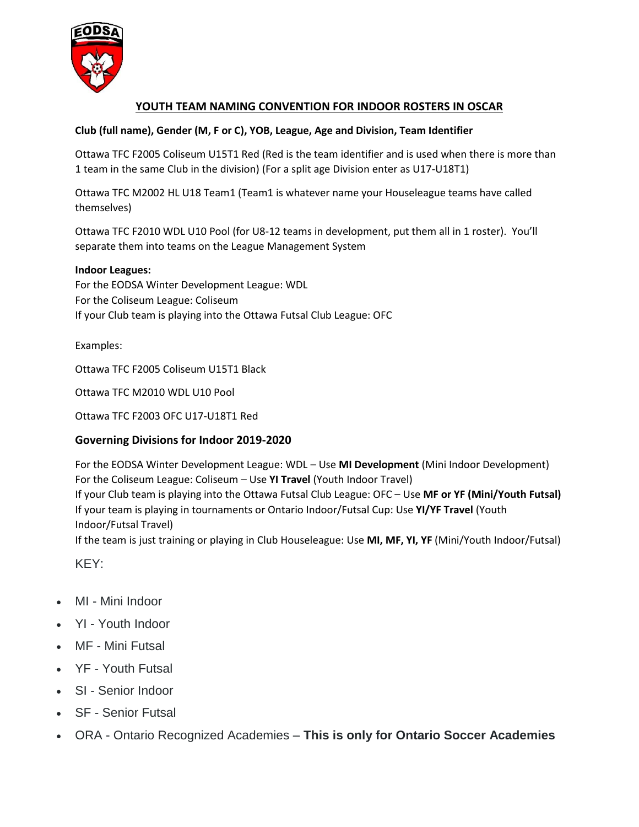

# **YOUTH TEAM NAMING CONVENTION FOR INDOOR ROSTERS IN OSCAR**

## **Club (full name), Gender (M, F or C), YOB, League, Age and Division, Team Identifier**

Ottawa TFC F2005 Coliseum U15T1 Red (Red is the team identifier and is used when there is more than 1 team in the same Club in the division) (For a split age Division enter as U17-U18T1)

Ottawa TFC M2002 HL U18 Team1 (Team1 is whatever name your Houseleague teams have called themselves)

Ottawa TFC F2010 WDL U10 Pool (for U8-12 teams in development, put them all in 1 roster). You'll separate them into teams on the League Management System

### **Indoor Leagues:**

For the EODSA Winter Development League: WDL For the Coliseum League: Coliseum If your Club team is playing into the Ottawa Futsal Club League: OFC

Examples:

Ottawa TFC F2005 Coliseum U15T1 Black

Ottawa TFC M2010 WDL U10 Pool

Ottawa TFC F2003 OFC U17-U18T1 Red

## **Governing Divisions for Indoor 2019-2020**

For the EODSA Winter Development League: WDL – Use **MI Development** (Mini Indoor Development) For the Coliseum League: Coliseum – Use **YI Travel** (Youth Indoor Travel) If your Club team is playing into the Ottawa Futsal Club League: OFC – Use **MF or YF (Mini/Youth Futsal)** If your team is playing in tournaments or Ontario Indoor/Futsal Cup: Use **YI/YF Travel** (Youth Indoor/Futsal Travel) If the team is just training or playing in Club Houseleague: Use **MI, MF, YI, YF** (Mini/Youth Indoor/Futsal)

KEY:

- MI Mini Indoor
- YI Youth Indoor
- MF Mini Futsal
- YF Youth Futsal
- SI Senior Indoor
- SF Senior Futsal
- ORA Ontario Recognized Academies **This is only for Ontario Soccer Academies**